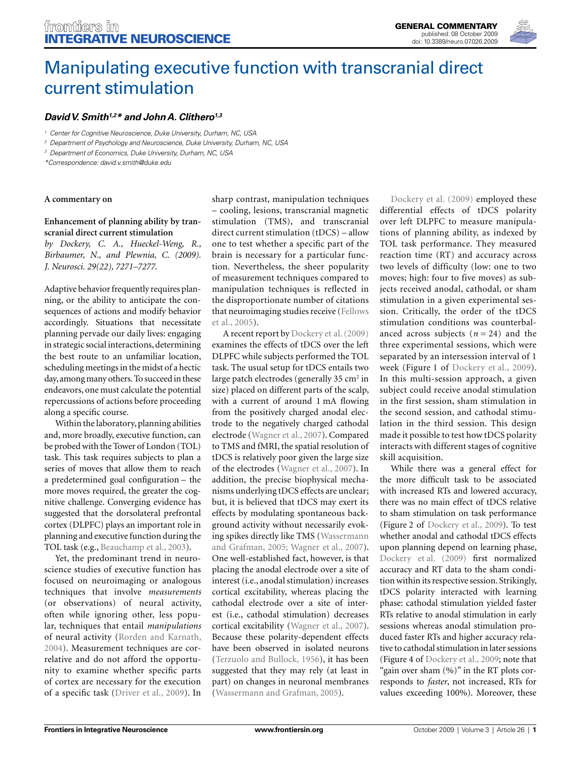

# Manipulating executive function with transcranial direct current stimulation

## *David V. Smith1,2\* and John A. Clithero1,3*

*1 Center for Cognitive Neuroscience, Duke University, Durham, NC, USA*

*2 Department of Psychology and Neuroscience, Duke University, Durham, NC, USA*

*3 Department of Economics, Duke University, Durham, NC, USA*

*\*Correspondence: david.v.smith@duke.edu*

## **A commentary on**

## **Enhancement of planning ability by transcranial direct current stimulation**

*by Dockery, C. A., Hueckel-Weng, R., Birbaumer, N., and Plewnia, C. (2009). J. Neurosci. 29(22), 7271–7277.* 

Adaptive behavior frequently requires planning, or the ability to anticipate the consequences of actions and modify behavior accordingly. Situations that necessitate planning pervade our daily lives: engaging in strategic social interactions, determining the best route to an unfamiliar location, scheduling meetings in the midst of a hectic day, among many others. To succeed in these endeavors, one must calculate the potential repercussions of actions before proceeding along a specific course.

Within the laboratory, planning abilities and, more broadly, executive function, can be probed with the Tower of London (TOL) task. This task requires subjects to plan a series of moves that allow them to reach a predetermined goal configuration - the more moves required, the greater the cognitive challenge. Converging evidence has suggested that the dorsolateral prefrontal cortex (DLPFC) plays an important role in planning and executive function during the TOL task (e.g., Beauchamp et al., 2003).

Yet, the predominant trend in neuroscience studies of executive function has focused on neuroimaging or analogous techniques that involve *measurements* (or observations) of neural activity, often while ignoring other, less popular, techniques that entail *manipulations* of neural activity (Rorden and Karnath, 2004). Measurement techniques are correlative and do not afford the opportunity to examine whether specific parts of cortex are necessary for the execution of a specific task (Driver et al., 2009). In

sharp contrast, manipulation techniques – cooling, lesions, transcranial magnetic stimulation (TMS), and transcranial direct current stimulation (tDCS) – allow one to test whether a specific part of the brain is necessary for a particular function. Nevertheless, the sheer popularity of measurement techniques compared to manipulation techniques is reflected in the disproportionate number of citations that neuroimaging studies receive (Fellows et al., 2005).

A recent report by Dockery et al. (2009) examines the effects of tDCS over the left DLPFC while subjects performed the TOL task. The usual setup for tDCS entails two large patch electrodes (generally 35  $\text{cm}^2$  in size) placed on different parts of the scalp, with a current of around 1 mA flowing from the positively charged anodal electrode to the negatively charged cathodal electrode (Wagner et al., 2007). Compared to TMS and fMRI, the spatial resolution of tDCS is relatively poor given the large size of the electrodes (Wagner et al., 2007). In addition, the precise biophysical mechanisms underlying tDCS effects are unclear; but, it is believed that tDCS may exert its effects by modulating spontaneous background activity without necessarily evoking spikes directly like TMS (Wassermann and Grafman, 2005; Wagner et al., 2007). One well-established fact, however, is that placing the anodal electrode over a site of interest (i.e., anodal stimulation) increases cortical excitability, whereas placing the cathodal electrode over a site of interest (i.e., cathodal stimulation) decreases cortical excitability (Wagner et al., 2007). Because these polarity-dependent effects have been observed in isolated neurons (Terzuolo and Bullock, 1956), it has been suggested that they may rely (at least in part) on changes in neuronal membranes (Wassermann and Grafman, 2005).

Dockery et al. (2009) employed these differential effects of tDCS polarity over left DLPFC to measure manipulations of planning ability, as indexed by TOL task performance. They measured reaction time (RT) and accuracy across two levels of difficulty (low: one to two moves; high: four to five moves) as subjects received anodal, cathodal, or sham stimulation in a given experimental session. Critically, the order of the tDCS stimulation conditions was counterbalanced across subjects  $(n = 24)$  and the three experimental sessions, which were separated by an intersession interval of 1 week (Figure 1 of Dockery et al., 2009). In this multi-session approach, a given subject could receive anodal stimulation in the first session, sham stimulation in the second session, and cathodal stimulation in the third session. This design made it possible to test how tDCS polarity interacts with different stages of cognitive skill acquisition.

While there was a general effect for the more difficult task to be associated with increased RTs and lowered accuracy, there was no main effect of tDCS relative to sham stimulation on task performance (Figure 2 of Dockery et al., 2009). To test whether anodal and cathodal tDCS effects upon planning depend on learning phase, Dockery et al. (2009) first normalized accuracy and RT data to the sham condition within its respective session. Strikingly, tDCS polarity interacted with learning phase: cathodal stimulation yielded faster RTs relative to anodal stimulation in early sessions whereas anodal stimulation produced faster RTs and higher accuracy relative to cathodal stimulation in later sessions (Figure 4 of Dockery et al., 2009; note that "gain over sham (%)" in the RT plots corresponds to *faster*, not increased, RTs for values exceeding 100%). Moreover, these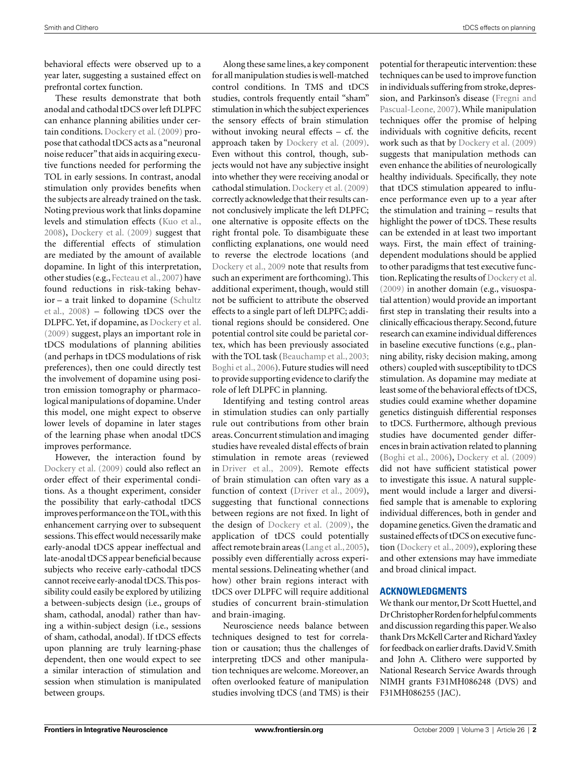behavioral effects were observed up to a year later, suggesting a sustained effect on prefrontal cortex function.

These results demonstrate that both anodal and cathodal tDCS over left DLPFC can enhance planning abilities under certain conditions. Dockery et al. (2009) propose that cathodal tDCS acts as a "neuronal noise reducer" that aids in acquiring executive functions needed for performing the TOL in early sessions. In contrast, anodal stimulation only provides benefits when the subjects are already trained on the task. Noting previous work that links dopamine levels and stimulation effects (Kuo et al., 2008), Dockery et al. (2009) suggest that the differential effects of stimulation are mediated by the amount of available dopamine. In light of this interpretation, other studies (e.g., Fecteau et al., 2007) have found reductions in risk-taking behavior – a trait linked to dopamine (Schultz et al., 2008) – following tDCS over the DLPFC. Yet, if dopamine, as Dockery et al. (2009) suggest, plays an important role in tDCS modulations of planning abilities (and perhaps in tDCS modulations of risk preferences), then one could directly test the involvement of dopamine using positron emission tomography or pharmacological manipulations of dopamine. Under this model, one might expect to observe lower levels of dopamine in later stages of the learning phase when anodal tDCS improves performance.

However, the interaction found by Dockery et al. (2009) could also reflect an order effect of their experimental conditions. As a thought experiment, consider the possibility that early-cathodal tDCS improves performance on the TOL, with this enhancement carrying over to subsequent sessions. This effect would necessarily make early-anodal tDCS appear ineffectual and late-anodal tDCS appear beneficial because subjects who receive early-cathodal tDCS cannot receive early-anodal tDCS. This possibility could easily be explored by utilizing a between-subjects design (i.e., groups of sham, cathodal, anodal) rather than having a within-subject design (i.e., sessions of sham, cathodal, anodal). If tDCS effects upon planning are truly learning-phase dependent, then one would expect to see a similar interaction of stimulation and session when stimulation is manipulated between groups.

Along these same lines, a key component for all manipulation studies is well-matched control conditions. In TMS and tDCS studies, controls frequently entail "sham" stimulation in which the subject experiences the sensory effects of brain stimulation without invoking neural effects – cf. the approach taken by Dockery et al. (2009). Even without this control, though, subjects would not have any subjective insight into whether they were receiving anodal or cathodal stimulation. Dockery et al. (2009) correctly acknowledge that their results cannot conclusively implicate the left DLPFC; one alternative is opposite effects on the right frontal pole. To disambiguate these conflicting explanations, one would need to reverse the electrode locations (and Dockery et al., 2009 note that results from such an experiment are forthcoming). This additional experiment, though, would still not be sufficient to attribute the observed effects to a single part of left DLPFC; additional regions should be considered. One potential control site could be parietal cortex, which has been previously associated with the TOL task (Beauchamp et al., 2003; Boghi et al., 2006). Future studies will need to provide supporting evidence to clarify the role of left DLPFC in planning.

Identifying and testing control areas in stimulation studies can only partially rule out contributions from other brain areas. Concurrent stimulation and imaging studies have revealed distal effects of brain stimulation in remote areas (reviewed in Driver et al., 2009). Remote effects of brain stimulation can often vary as a function of context (Driver et al., 2009), suggesting that functional connections between regions are not fixed. In light of the design of Dockery et al. (2009), the application of tDCS could potentially affect remote brain areas (Lang et al., 2005), possibly even differentially across experimental sessions. Delineating whether (and how) other brain regions interact with tDCS over DLPFC will require additional studies of concurrent brain-stimulation and brain-imaging.

Neuroscience needs balance between techniques designed to test for correlation or causation; thus the challenges of interpreting tDCS and other manipulation techniques are welcome. Moreover, an often overlooked feature of manipulation studies involving tDCS (and TMS) is their potential for therapeutic intervention: these techniques can be used to improve function in individuals suffering from stroke, depression, and Parkinson's disease (Fregni and Pascual-Leone, 2007). While manipulation techniques offer the promise of helping individuals with cognitive deficits, recent work such as that by Dockery et al. (2009) suggests that manipulation methods can even enhance the abilities of neurologically healthy individuals. Specifically, they note that tDCS stimulation appeared to influence performance even up to a year after the stimulation and training – results that highlight the power of tDCS. These results can be extended in at least two important ways. First, the main effect of trainingdependent modulations should be applied to other paradigms that test executive function. Replicating the results of Dockery et al. (2009) in another domain (e.g., visuospatial attention) would provide an important first step in translating their results into a clinically efficacious therapy. Second, future research can examine individual differences in baseline executive functions (e.g., planning ability, risky decision making, among others) coupled with susceptibility to tDCS stimulation. As dopamine may mediate at least some of the behavioral effects of tDCS, studies could examine whether dopamine genetics distinguish differential responses to tDCS. Furthermore, although previous studies have documented gender differences in brain activation related to planning (Boghi et al., 2006), Dockery et al. (2009) did not have sufficient statistical power to investigate this issue. A natural supplement would include a larger and diversified sample that is amenable to exploring individual differences, both in gender and dopamine genetics. Given the dramatic and sustained effects of tDCS on executive function (Dockery et al., 2009), exploring these and other extensions may have immediate and broad clinical impact.

### **ACKNOWLEDGMENTS**

We thank our mentor, Dr Scott Huettel, and Dr Christopher Rorden for helpful comments and discussion regarding this paper. We also thank Drs McKell Carter and Richard Yaxley for feedback on earlier drafts. David V. Smith and John A. Clithero were supported by National Research Service Awards through NIMH grants F31MH086248 (DVS) and F31MH086255 (JAC).